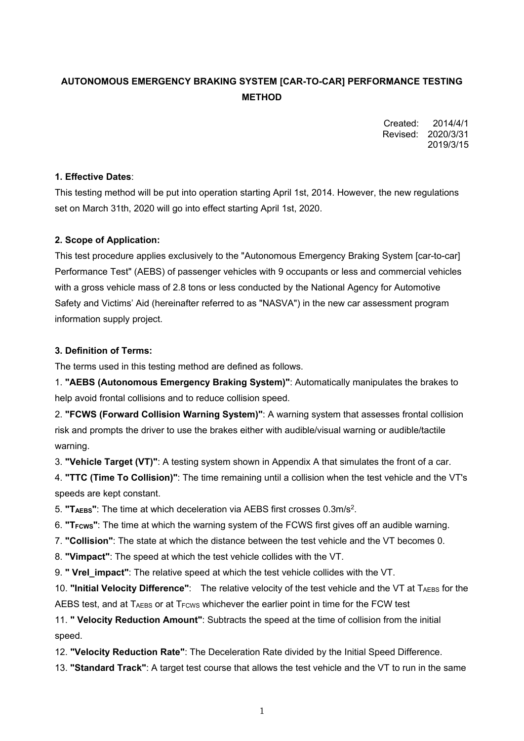# **AUTONOMOUS EMERGENCY BRAKING SYSTEM [CAR-TO-CAR] PERFORMANCE TESTING METHOD**

Created: 2014/4/1 Revised: 2020/3/31 2019/3/15

### **1. Effective Dates**:

This testing method will be put into operation starting April 1st, 2014. However, the new regulations set on March 31th, 2020 will go into effect starting April 1st, 2020.

### **2. Scope of Application:**

This test procedure applies exclusively to the "Autonomous Emergency Braking System [car-to-car] Performance Test" (AEBS) of passenger vehicles with 9 occupants or less and commercial vehicles with a gross vehicle mass of 2.8 tons or less conducted by the National Agency for Automotive Safety and Victims' Aid (hereinafter referred to as "NASVA") in the new car assessment program information supply project.

### **3. Definition of Terms:**

The terms used in this testing method are defined as follows.

1. **"AEBS (Autonomous Emergency Braking System)"**: Automatically manipulates the brakes to help avoid frontal collisions and to reduce collision speed.

2. **"FCWS (Forward Collision Warning System)"**: A warning system that assesses frontal collision risk and prompts the driver to use the brakes either with audible/visual warning or audible/tactile warning.

3. **"Vehicle Target (VT)"**: A testing system shown in Appendix A that simulates the front of a car.

4. **"TTC (Time To Collision)"**: The time remaining until a collision when the test vehicle and the VT's speeds are kept constant.

5. **"TAEBS"**: The time at which deceleration via AEBS first crosses 0.3m/s2.

6. **"TFCWS"**: The time at which the warning system of the FCWS first gives off an audible warning.

7. **"Collision"**: The state at which the distance between the test vehicle and the VT becomes 0.

8. **"Vimpact"**: The speed at which the test vehicle collides with the VT.

9. **" Vrel\_impact"**: The relative speed at which the test vehicle collides with the VT.

10. **"Initial Velocity Difference"**: The relative velocity of the test vehicle and the VT at TAEBS for the AEBS test, and at TAEBS or at T<sub>FCWS</sub> whichever the earlier point in time for the FCW test

11. **" Velocity Reduction Amount"**: Subtracts the speed at the time of collision from the initial speed.

12. **"Velocity Reduction Rate"**: The Deceleration Rate divided by the Initial Speed Difference.

13. **"Standard Track"**: A target test course that allows the test vehicle and the VT to run in the same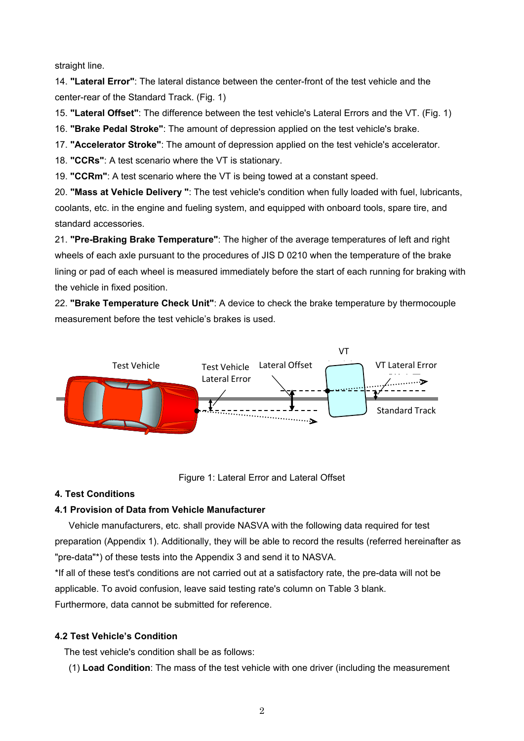straight line.

14. **"Lateral Error"**: The lateral distance between the center-front of the test vehicle and the center-rear of the Standard Track. (Fig. 1)

15. **"Lateral Offset"**: The difference between the test vehicle's Lateral Errors and the VT. (Fig. 1)

16. **"Brake Pedal Stroke"**: The amount of depression applied on the test vehicle's brake.

17. **"Accelerator Stroke"**: The amount of depression applied on the test vehicle's accelerator.

18. **"CCRs"**: A test scenario where the VT is stationary.

19. **"CCRm"**: A test scenario where the VT is being towed at a constant speed.

20. **"Mass at Vehicle Delivery "**: The test vehicle's condition when fully loaded with fuel, lubricants, coolants, etc. in the engine and fueling system, and equipped with onboard tools, spare tire, and standard accessories.

21. **"Pre-Braking Brake Temperature"**: The higher of the average temperatures of left and right wheels of each axle pursuant to the procedures of JIS D 0210 when the temperature of the brake lining or pad of each wheel is measured immediately before the start of each running for braking with the vehicle in fixed position.

22. **"Brake Temperature Check Unit"**: A device to check the brake temperature by thermocouple measurement before the test vehicle's brakes is used.



Figure 1: Lateral Error and Lateral Offset

### **4. Test Conditions**

### **4.1 Provision of Data from Vehicle Manufacturer**

 Vehicle manufacturers, etc. shall provide NASVA with the following data required for test preparation (Appendix 1). Additionally, they will be able to record the results (referred hereinafter as "pre-data"\*) of these tests into the Appendix 3 and send it to NASVA.

\*If all of these test's conditions are not carried out at a satisfactory rate, the pre-data will not be applicable. To avoid confusion, leave said testing rate's column on Table 3 blank. Furthermore, data cannot be submitted for reference.

### **4.2 Test Vehicle's Condition**

The test vehicle's condition shall be as follows:

(1) **Load Condition**: The mass of the test vehicle with one driver (including the measurement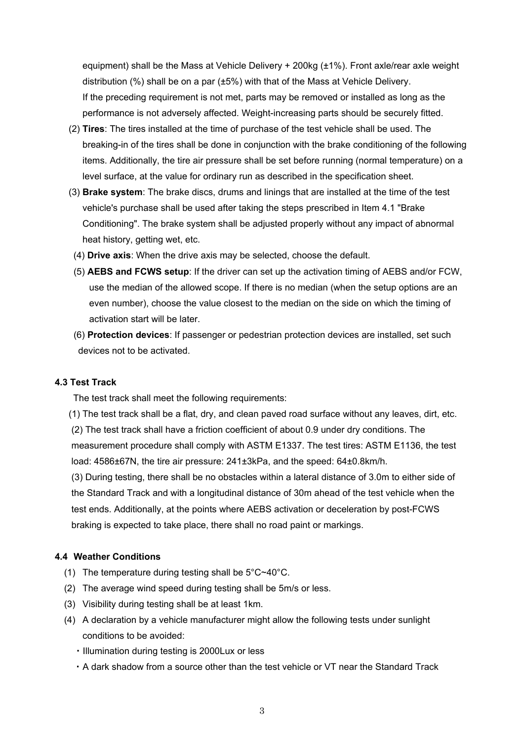equipment) shall be the Mass at Vehicle Delivery + 200kg (±1%). Front axle/rear axle weight distribution (%) shall be on a par (±5%) with that of the Mass at Vehicle Delivery. If the preceding requirement is not met, parts may be removed or installed as long as the performance is not adversely affected. Weight-increasing parts should be securely fitted.

- (2) **Tires**: The tires installed at the time of purchase of the test vehicle shall be used. The breaking-in of the tires shall be done in conjunction with the brake conditioning of the following items. Additionally, the tire air pressure shall be set before running (normal temperature) on a level surface, at the value for ordinary run as described in the specification sheet.
- (3) **Brake system**: The brake discs, drums and linings that are installed at the time of the test vehicle's purchase shall be used after taking the steps prescribed in Item 4.1 "Brake Conditioning". The brake system shall be adjusted properly without any impact of abnormal heat history, getting wet, etc.
	- (4) **Drive axis**: When the drive axis may be selected, choose the default.
	- (5) **AEBS and FCWS setup**: If the driver can set up the activation timing of AEBS and/or FCW, use the median of the allowed scope. If there is no median (when the setup options are an even number), choose the value closest to the median on the side on which the timing of activation start will be later.
	- (6) **Protection devices**: If passenger or pedestrian protection devices are installed, set such devices not to be activated.

## **4.3 Test Track**

The test track shall meet the following requirements:

- (1) The test track shall be a flat, dry, and clean paved road surface without any leaves, dirt, etc.
- (2) The test track shall have a friction coefficient of about 0.9 under dry conditions. The measurement procedure shall comply with ASTM E1337. The test tires: ASTM E1136, the test load: 4586±67N, the tire air pressure: 241±3kPa, and the speed: 64±0.8km/h.

(3) During testing, there shall be no obstacles within a lateral distance of 3.0m to either side of the Standard Track and with a longitudinal distance of 30m ahead of the test vehicle when the test ends. Additionally, at the points where AEBS activation or deceleration by post-FCWS braking is expected to take place, there shall no road paint or markings.

### **4.4 Weather Conditions**

- (1) The temperature during testing shall be 5°C~40°C.
- (2) The average wind speed during testing shall be 5m/s or less.
- (3) Visibility during testing shall be at least 1km.
- (4) A declaration by a vehicle manufacturer might allow the following tests under sunlight conditions to be avoided:
	- ・Illumination during testing is 2000Lux or less
	- ・A dark shadow from a source other than the test vehicle or VT near the Standard Track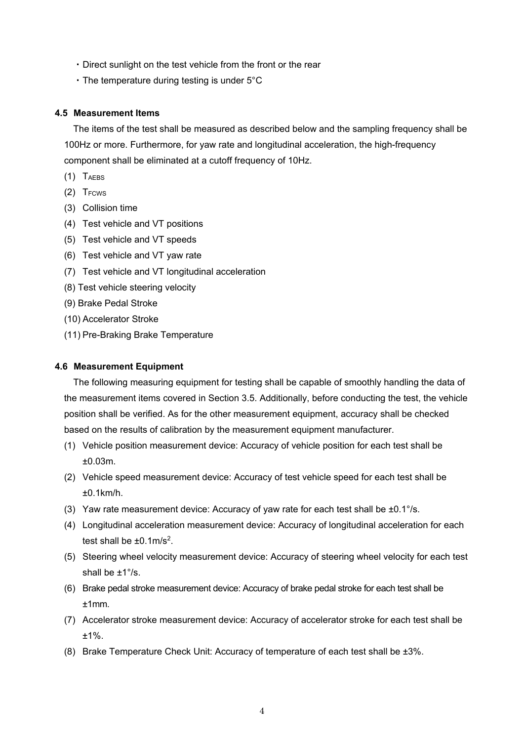- ・Direct sunlight on the test vehicle from the front or the rear
- ・The temperature during testing is under 5°C

### **4.5 Measurement Items**

The items of the test shall be measured as described below and the sampling frequency shall be 100Hz or more. Furthermore, for yaw rate and longitudinal acceleration, the high-frequency component shall be eliminated at a cutoff frequency of 10Hz.

- $(1)$  T<sub>AEBS</sub>
- $(2)$  T<sub>FCWS</sub>
- (3) Collision time
- (4) Test vehicle and VT positions
- (5) Test vehicle and VT speeds
- (6) Test vehicle and VT yaw rate
- (7) Test vehicle and VT longitudinal acceleration
- (8) Test vehicle steering velocity
- (9) Brake Pedal Stroke
- (10) Accelerator Stroke
- (11) Pre-Braking Brake Temperature

### **4.6 Measurement Equipment**

The following measuring equipment for testing shall be capable of smoothly handling the data of the measurement items covered in Section 3.5. Additionally, before conducting the test, the vehicle position shall be verified. As for the other measurement equipment, accuracy shall be checked based on the results of calibration by the measurement equipment manufacturer.

- (1) Vehicle position measurement device: Accuracy of vehicle position for each test shall be ±0.03m.
- (2) Vehicle speed measurement device: Accuracy of test vehicle speed for each test shall be ±0.1km/h.
- (3) Yaw rate measurement device: Accuracy of yaw rate for each test shall be  $\pm 0.1^{\circ}/s$ .
- (4) Longitudinal acceleration measurement device: Accuracy of longitudinal acceleration for each test shall be  $\pm 0.1$ m/s<sup>2</sup>.
- (5) Steering wheel velocity measurement device: Accuracy of steering wheel velocity for each test shall be ±1°/s.
- (6) Brake pedal stroke measurement device: Accuracy of brake pedal stroke for each test shall be ±1mm.
- (7) Accelerator stroke measurement device: Accuracy of accelerator stroke for each test shall be  $+1\%$
- (8) Brake Temperature Check Unit: Accuracy of temperature of each test shall be ±3%.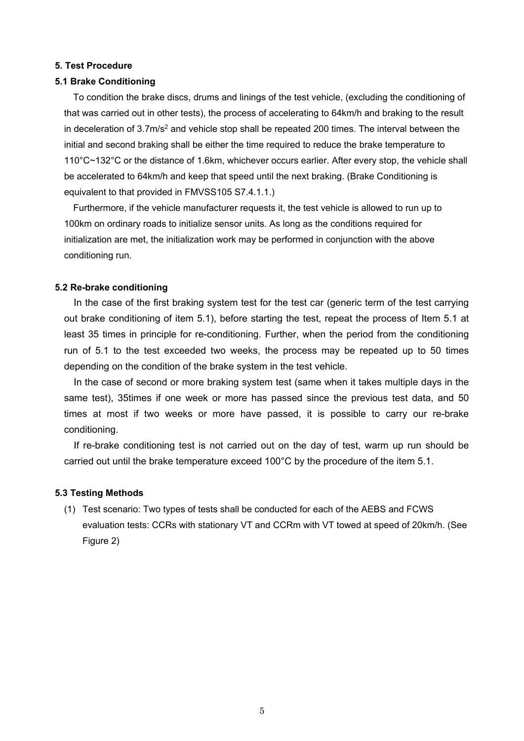### **5. Test Procedure**

### **5.1 Brake Conditioning**

To condition the brake discs, drums and linings of the test vehicle, (excluding the conditioning of that was carried out in other tests), the process of accelerating to 64km/h and braking to the result in deceleration of  $3.7 \text{m/s}^2$  and vehicle stop shall be repeated 200 times. The interval between the initial and second braking shall be either the time required to reduce the brake temperature to 110°C~132°C or the distance of 1.6km, whichever occurs earlier. After every stop, the vehicle shall be accelerated to 64km/h and keep that speed until the next braking. (Brake Conditioning is equivalent to that provided in FMVSS105 S7.4.1.1.)

Furthermore, if the vehicle manufacturer requests it, the test vehicle is allowed to run up to 100km on ordinary roads to initialize sensor units. As long as the conditions required for initialization are met, the initialization work may be performed in conjunction with the above conditioning run.

### **5.2 Re-brake conditioning**

In the case of the first braking system test for the test car (generic term of the test carrying out brake conditioning of item 5.1), before starting the test, repeat the process of Item 5.1 at least 35 times in principle for re-conditioning. Further, when the period from the conditioning run of 5.1 to the test exceeded two weeks, the process may be repeated up to 50 times depending on the condition of the brake system in the test vehicle.

In the case of second or more braking system test (same when it takes multiple days in the same test), 35times if one week or more has passed since the previous test data, and 50 times at most if two weeks or more have passed, it is possible to carry our re-brake conditioning.

If re-brake conditioning test is not carried out on the day of test, warm up run should be carried out until the brake temperature exceed 100°C by the procedure of the item 5.1.

#### **5.3 Testing Methods**

(1) Test scenario: Two types of tests shall be conducted for each of the AEBS and FCWS evaluation tests: CCRs with stationary VT and CCRm with VT towed at speed of 20km/h. (See Figure 2)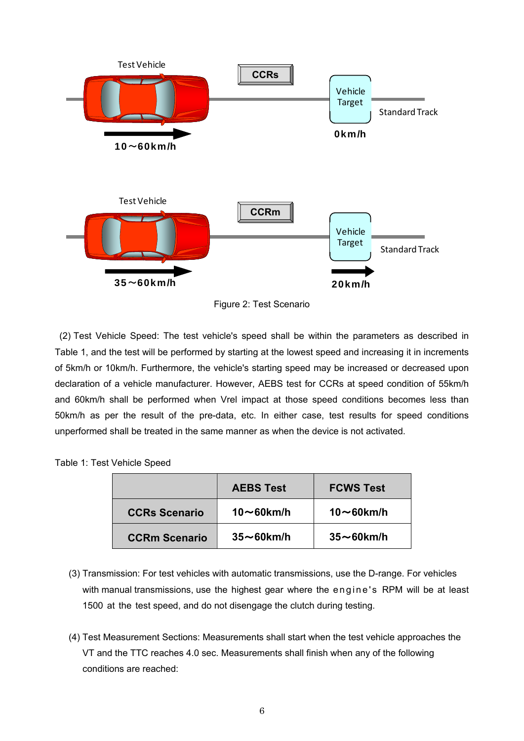

Figure 2: Test Scenario

 (2) Test Vehicle Speed: The test vehicle's speed shall be within the parameters as described in Table 1, and the test will be performed by starting at the lowest speed and increasing it in increments of 5km/h or 10km/h. Furthermore, the vehicle's starting speed may be increased or decreased upon declaration of a vehicle manufacturer. However, AEBS test for CCRs at speed condition of 55km/h and 60km/h shall be performed when Vrel impact at those speed conditions becomes less than 50km/h as per the result of the pre-data, etc. In either case, test results for speed conditions unperformed shall be treated in the same manner as when the device is not activated.

|  | Table 1: Test Vehicle Speed |  |
|--|-----------------------------|--|
|  |                             |  |

|                      | <b>AEBS Test</b>  | <b>FCWS Test</b>  |
|----------------------|-------------------|-------------------|
| <b>CCRs Scenario</b> | $10\sim$ 60km/h   | $10\sim$ 60km/h   |
| <b>CCRm Scenario</b> | $35 \sim 60$ km/h | $35 \sim 60$ km/h |

- (3) Transmission: For test vehicles with automatic transmissions, use the D-range. For vehicles with manual transmissions, use the highest gear where the engine's RPM will be at least 1500 at the test speed, and do not disengage the clutch during testing.
- (4) Test Measurement Sections: Measurements shall start when the test vehicle approaches the VT and the TTC reaches 4.0 sec. Measurements shall finish when any of the following conditions are reached: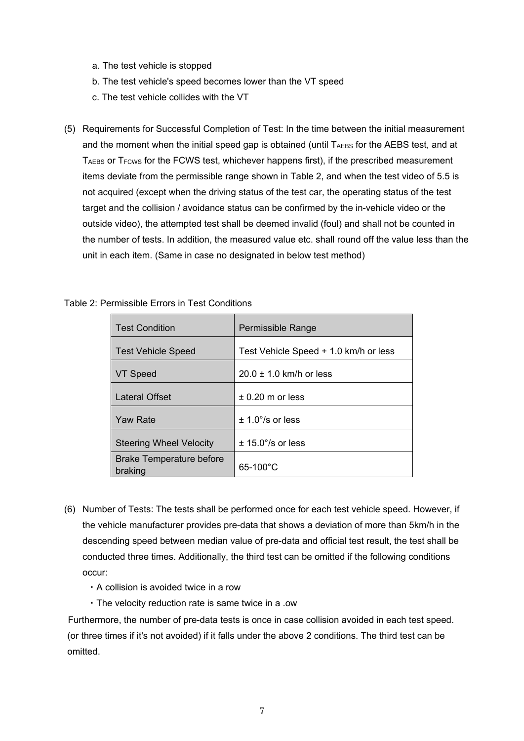- a. The test vehicle is stopped
- b. The test vehicle's speed becomes lower than the VT speed
- c. The test vehicle collides with the VT
- (5) Requirements for Successful Completion of Test: In the time between the initial measurement and the moment when the initial speed gap is obtained (until  $T_{AEBS}$  for the AEBS test, and at T<sub>AEBS</sub> or T<sub>FCWS</sub> for the FCWS test, whichever happens first), if the prescribed measurement items deviate from the permissible range shown in Table 2, and when the test video of 5.5 is not acquired (except when the driving status of the test car, the operating status of the test target and the collision / avoidance status can be confirmed by the in-vehicle video or the outside video), the attempted test shall be deemed invalid (foul) and shall not be counted in the number of tests. In addition, the measured value etc. shall round off the value less than the unit in each item. (Same in case no designated in below test method)

| <b>Test Condition</b>                      | Permissible Range                     |
|--------------------------------------------|---------------------------------------|
| <b>Test Vehicle Speed</b>                  | Test Vehicle Speed + 1.0 km/h or less |
| VT Speed                                   | $20.0 \pm 1.0$ km/h or less           |
| Lateral Offset                             | $\pm$ 0.20 m or less                  |
| <b>Yaw Rate</b>                            | $\pm$ 1.0 $^{\circ}$ /s or less       |
| <b>Steering Wheel Velocity</b>             | $\pm$ 15.0°/s or less                 |
| <b>Brake Temperature before</b><br>braking | $65 - 100^{\circ}$ C                  |

Table 2: Permissible Errors in Test Conditions

- (6) Number of Tests: The tests shall be performed once for each test vehicle speed. However, if the vehicle manufacturer provides pre-data that shows a deviation of more than 5km/h in the descending speed between median value of pre-data and official test result, the test shall be conducted three times. Additionally, the third test can be omitted if the following conditions occur:
	- ・A collision is avoided twice in a row
	- ・The velocity reduction rate is same twice in a .ow

Furthermore, the number of pre-data tests is once in case collision avoided in each test speed. (or three times if it's not avoided) if it falls under the above 2 conditions. The third test can be omitted.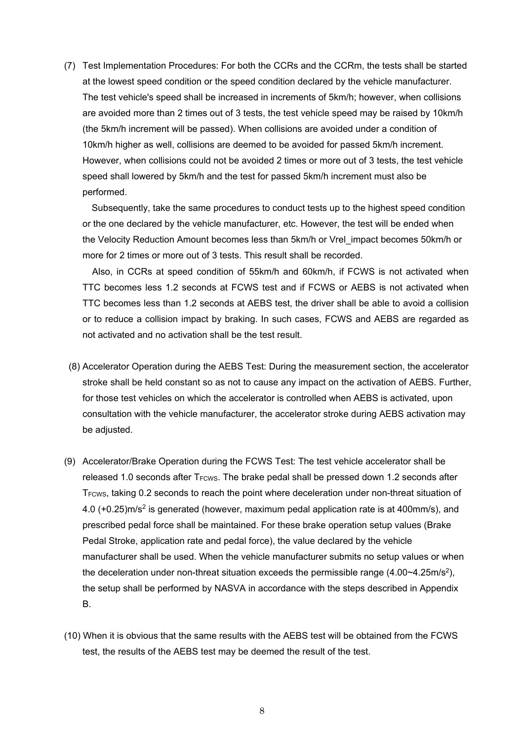(7) Test Implementation Procedures: For both the CCRs and the CCRm, the tests shall be started at the lowest speed condition or the speed condition declared by the vehicle manufacturer. The test vehicle's speed shall be increased in increments of 5km/h; however, when collisions are avoided more than 2 times out of 3 tests, the test vehicle speed may be raised by 10km/h (the 5km/h increment will be passed). When collisions are avoided under a condition of 10km/h higher as well, collisions are deemed to be avoided for passed 5km/h increment. However, when collisions could not be avoided 2 times or more out of 3 tests, the test vehicle speed shall lowered by 5km/h and the test for passed 5km/h increment must also be performed.

 Subsequently, take the same procedures to conduct tests up to the highest speed condition or the one declared by the vehicle manufacturer, etc. However, the test will be ended when the Velocity Reduction Amount becomes less than 5km/h or Vrel\_impact becomes 50km/h or more for 2 times or more out of 3 tests. This result shall be recorded.

 Also, in CCRs at speed condition of 55km/h and 60km/h, if FCWS is not activated when TTC becomes less 1.2 seconds at FCWS test and if FCWS or AEBS is not activated when TTC becomes less than 1.2 seconds at AEBS test, the driver shall be able to avoid a collision or to reduce a collision impact by braking. In such cases, FCWS and AEBS are regarded as not activated and no activation shall be the test result.

- (8) Accelerator Operation during the AEBS Test: During the measurement section, the accelerator stroke shall be held constant so as not to cause any impact on the activation of AEBS. Further, for those test vehicles on which the accelerator is controlled when AEBS is activated, upon consultation with the vehicle manufacturer, the accelerator stroke during AEBS activation may be adjusted.
- (9) Accelerator/Brake Operation during the FCWS Test: The test vehicle accelerator shall be released 1.0 seconds after T<sub>FCWS</sub>. The brake pedal shall be pressed down 1.2 seconds after T<sub>FCWS</sub>, taking 0.2 seconds to reach the point where deceleration under non-threat situation of 4.0 (+0.25)m/s2 is generated (however, maximum pedal application rate is at 400mm/s), and prescribed pedal force shall be maintained. For these brake operation setup values (Brake Pedal Stroke, application rate and pedal force), the value declared by the vehicle manufacturer shall be used. When the vehicle manufacturer submits no setup values or when the deceleration under non-threat situation exceeds the permissible range  $(4.00 \times 4.25 \text{m/s}^2)$ , the setup shall be performed by NASVA in accordance with the steps described in Appendix B.
- (10) When it is obvious that the same results with the AEBS test will be obtained from the FCWS test, the results of the AEBS test may be deemed the result of the test.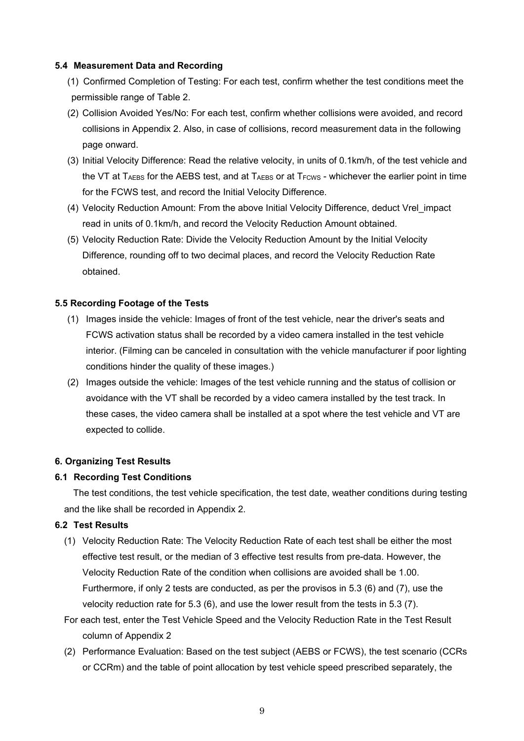### **5.4 Measurement Data and Recording**

- (1) Confirmed Completion of Testing: For each test, confirm whether the test conditions meet the permissible range of Table 2.
- (2) Collision Avoided Yes/No: For each test, confirm whether collisions were avoided, and record collisions in Appendix 2. Also, in case of collisions, record measurement data in the following page onward.
- (3) Initial Velocity Difference: Read the relative velocity, in units of 0.1km/h, of the test vehicle and the VT at  $T_{AEBS}$  for the AEBS test, and at  $T_{AEBS}$  or at  $T_{FCWS}$  - whichever the earlier point in time for the FCWS test, and record the Initial Velocity Difference.
- (4) Velocity Reduction Amount: From the above Initial Velocity Difference, deduct Vrel\_impact read in units of 0.1km/h, and record the Velocity Reduction Amount obtained.
- (5) Velocity Reduction Rate: Divide the Velocity Reduction Amount by the Initial Velocity Difference, rounding off to two decimal places, and record the Velocity Reduction Rate obtained.

### **5.5 Recording Footage of the Tests**

- (1) Images inside the vehicle: Images of front of the test vehicle, near the driver's seats and FCWS activation status shall be recorded by a video camera installed in the test vehicle interior. (Filming can be canceled in consultation with the vehicle manufacturer if poor lighting conditions hinder the quality of these images.)
- (2) Images outside the vehicle: Images of the test vehicle running and the status of collision or avoidance with the VT shall be recorded by a video camera installed by the test track. In these cases, the video camera shall be installed at a spot where the test vehicle and VT are expected to collide.

#### **6. Organizing Test Results**

## **6.1 Recording Test Conditions**

The test conditions, the test vehicle specification, the test date, weather conditions during testing and the like shall be recorded in Appendix 2.

### **6.2 Test Results**

- (1) Velocity Reduction Rate: The Velocity Reduction Rate of each test shall be either the most effective test result, or the median of 3 effective test results from pre-data. However, the Velocity Reduction Rate of the condition when collisions are avoided shall be 1.00. Furthermore, if only 2 tests are conducted, as per the provisos in 5.3 (6) and (7), use the velocity reduction rate for 5.3 (6), and use the lower result from the tests in 5.3 (7).
- For each test, enter the Test Vehicle Speed and the Velocity Reduction Rate in the Test Result column of Appendix 2
- (2) Performance Evaluation: Based on the test subject (AEBS or FCWS), the test scenario (CCRs or CCRm) and the table of point allocation by test vehicle speed prescribed separately, the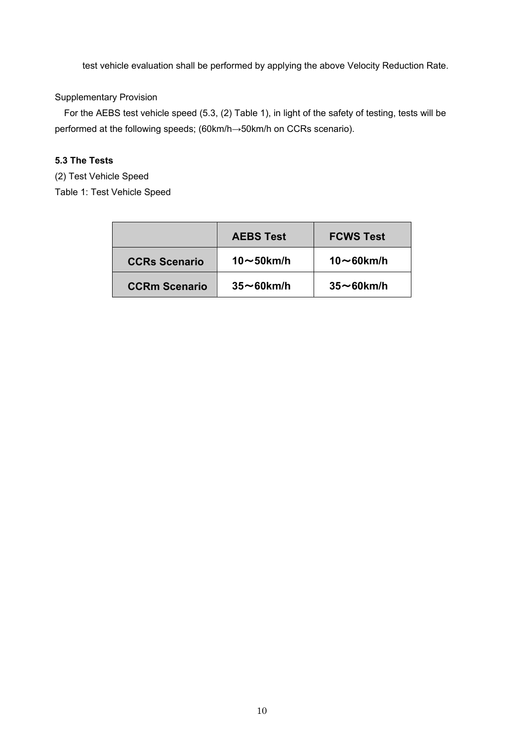test vehicle evaluation shall be performed by applying the above Velocity Reduction Rate.

## Supplementary Provision

 For the AEBS test vehicle speed (5.3, (2) Table 1), in light of the safety of testing, tests will be performed at the following speeds; (60km/h→50km/h on CCRs scenario).

# **5.3 The Tests**

(2) Test Vehicle Speed

Table 1: Test Vehicle Speed

|                      | <b>AEBS Test</b>  | <b>FCWS Test</b>  |
|----------------------|-------------------|-------------------|
| <b>CCRs Scenario</b> | 10 $\sim$ 50km/h  | $10\sim$ 60km/h   |
| <b>CCRm Scenario</b> | $35 \sim 60$ km/h | $35 \sim 60$ km/h |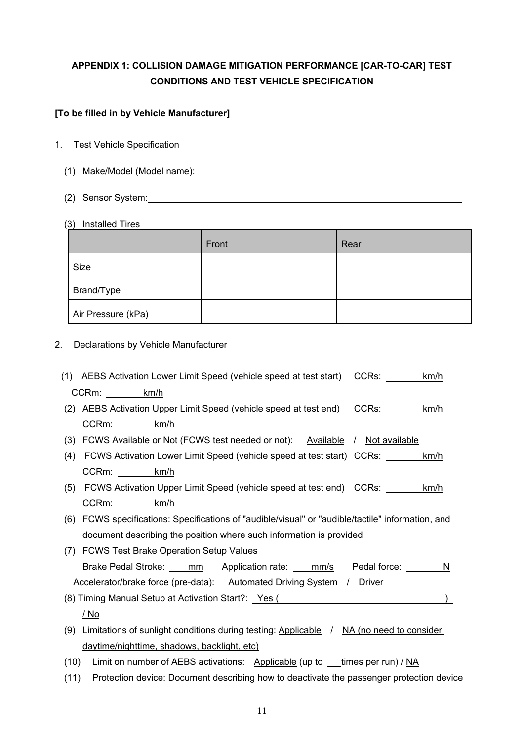# **APPENDIX 1: COLLISION DAMAGE MITIGATION PERFORMANCE [CAR-TO-CAR] TEST CONDITIONS AND TEST VEHICLE SPECIFICATION**

# **[To be filled in by Vehicle Manufacturer]**

- 1. Test Vehicle Specification
	- (1) Make/Model (Model name):
	- (2) Sensor System:
	- (3) Installed Tires

|                    | Front | Rear |
|--------------------|-------|------|
| Size               |       |      |
| Brand/Type         |       |      |
| Air Pressure (kPa) |       |      |

2. Declarations by Vehicle Manufacturer

|      | (1) AEBS Activation Lower Limit Speed (vehicle speed at test start) CCRs:                         | km/h |
|------|---------------------------------------------------------------------------------------------------|------|
|      | CCRm: km/h                                                                                        |      |
|      | (2) AEBS Activation Upper Limit Speed (vehicle speed at test end) CCRs: _______                   | km/h |
|      | CCRm: km/h                                                                                        |      |
|      | (3) FCWS Available or Not (FCWS test needed or not): Available / Not available                    |      |
| (4)  | FCWS Activation Lower Limit Speed (vehicle speed at test start) CCRs: ________ km/h               |      |
|      | CCRm: km/h                                                                                        |      |
| (5)  | FCWS Activation Upper Limit Speed (vehicle speed at test end) CCRs:                               | km/h |
|      | CCRm: km/h                                                                                        |      |
|      | (6) FCWS specifications: Specifications of "audible/visual" or "audible/tactile" information, and |      |
|      | document describing the position where such information is provided                               |      |
|      | (7) FCWS Test Brake Operation Setup Values                                                        |      |
|      | Brake Pedal Stroke: ____ mm Application rate: ___ mm/s Pedal force: _______ N                     |      |
|      | Accelerator/brake force (pre-data): Automated Driving System / Driver                             |      |
|      | (8) Timing Manual Setup at Activation Start?: Yes (2008) National Control of Article 1996)        |      |
|      | <u>/ No</u>                                                                                       |      |
| (9)  | Limitations of sunlight conditions during testing: Applicable / NA (no need to consider           |      |
|      | daytime/nighttime, shadows, backlight, etc)                                                       |      |
| (10) | Limit on number of AEBS activations: Applicable (up to __times per run) / NA                      |      |
| (11) | Protection device: Document describing how to deactivate the passenger protection device          |      |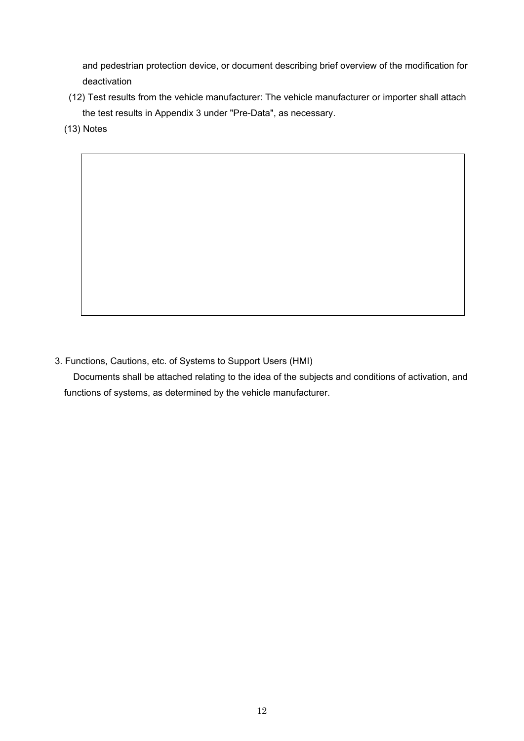and pedestrian protection device, or document describing brief overview of the modification for deactivation

- (12) Test results from the vehicle manufacturer: The vehicle manufacturer or importer shall attach the test results in Appendix 3 under "Pre-Data", as necessary.
- (13) Notes

3. Functions, Cautions, etc. of Systems to Support Users (HMI)

Documents shall be attached relating to the idea of the subjects and conditions of activation, and functions of systems, as determined by the vehicle manufacturer.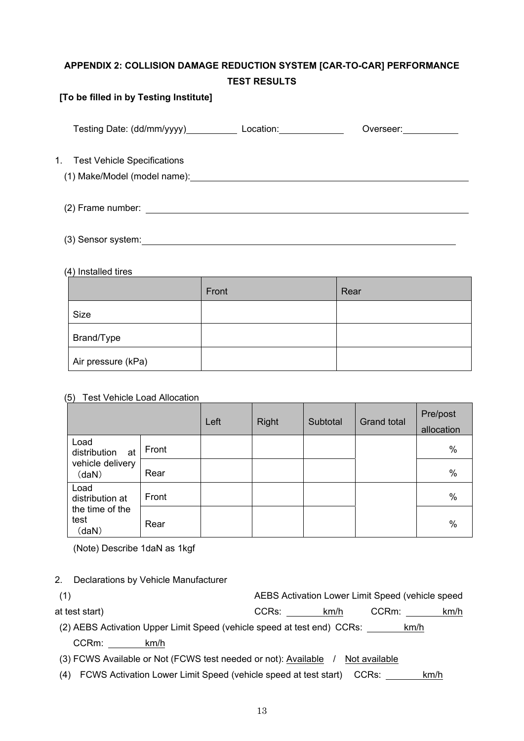# **APPENDIX 2: COLLISION DAMAGE REDUCTION SYSTEM [CAR-TO-CAR] PERFORMANCE TEST RESULTS**

## **[To be filled in by Testing Institute]**

| Testing Date: (dd/mm/yyyy)               | Location: <b>All According to the Street</b> | Overseer: |  |
|------------------------------------------|----------------------------------------------|-----------|--|
| 1.<br><b>Test Vehicle Specifications</b> |                                              |           |  |
|                                          |                                              |           |  |
| (3) Sensor system:_                      |                                              |           |  |

### (4) Installed tires

|                    | Front | Rear |
|--------------------|-------|------|
| Size               |       |      |
| Brand/Type         |       |      |
| Air pressure (kPa) |       |      |

## (5) Test Vehicle Load Allocation

|                                                         |       | Left | <b>Right</b> | Subtotal | <b>Grand total</b> | Pre/post<br>allocation |
|---------------------------------------------------------|-------|------|--------------|----------|--------------------|------------------------|
| Load<br>distribution<br>at<br>vehicle delivery<br>(daN) | Front |      |              |          |                    | $\%$                   |
|                                                         | Rear  |      |              |          |                    | %                      |
| Load<br>distribution at                                 | Front |      |              |          |                    | $\%$                   |
| the time of the<br>test<br>(daN)                        | Rear  |      |              |          |                    | $\%$                   |

(Note) Describe 1daN as 1kgf

2. Declarations by Vehicle Manufacturer

| (1)                                                                     |            | AEBS Activation Lower Limit Speed (vehicle speed |      |
|-------------------------------------------------------------------------|------------|--------------------------------------------------|------|
| at test start)                                                          | CCRs: km/h | CCRm:                                            | km/h |
| (2) AEBS Activation Upper Limit Speed (vehicle speed at test end) CCRs: |            | km/h                                             |      |
| CCRm:<br>km/h                                                           |            |                                                  |      |
| (3) FCWS Available or Not (FCWS test needed or not): Available          |            | Not available                                    |      |

(4) FCWS Activation Lower Limit Speed (vehicle speed at test start) CCRs: \_\_\_\_\_\_ km/h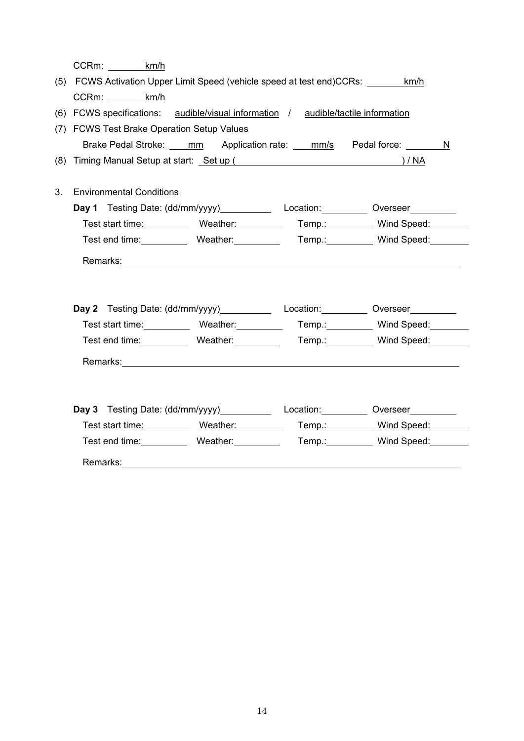|    | CCRm:<br>km/h                                                                                                                                                                                                                  |      |   |
|----|--------------------------------------------------------------------------------------------------------------------------------------------------------------------------------------------------------------------------------|------|---|
|    | (5) FCWS Activation Upper Limit Speed (vehicle speed at test end)CCRs: ________ km/h                                                                                                                                           |      |   |
|    | CCRm: km/h                                                                                                                                                                                                                     |      |   |
|    | (6) FCWS specifications: audible/visual information / audible/tactile information                                                                                                                                              |      |   |
|    | (7) FCWS Test Brake Operation Setup Values                                                                                                                                                                                     |      |   |
|    | Brake Pedal Stroke: mm Application rate: ___ mm/s Pedal force: ______                                                                                                                                                          |      | N |
|    | (8) Timing Manual Setup at start: Set up (Superman and Superman and Superman and Superman and Superman and Superman and Superman and Superman and Superman and Superman and Superman and Superman and Superman and Superman an | )/NA |   |
|    |                                                                                                                                                                                                                                |      |   |
| 3. | <b>Environmental Conditions</b>                                                                                                                                                                                                |      |   |
|    | Day 1 Testing Date: (dd/mm/yyyy) Location: Overseer                                                                                                                                                                            |      |   |
|    | Test start time: Weather: Temp.: Wind Speed:                                                                                                                                                                                   |      |   |
|    | Test end time: Weather: Temp.: Wenther: Temp. Wind Speed:                                                                                                                                                                      |      |   |
|    |                                                                                                                                                                                                                                |      |   |
|    |                                                                                                                                                                                                                                |      |   |
|    |                                                                                                                                                                                                                                |      |   |
|    | Day 2 Testing Date: (dd/mm/yyyy) Location: University Overseer                                                                                                                                                                 |      |   |
|    | Test start time: Weather: Temp.: Wind Speed: Wind Speed:                                                                                                                                                                       |      |   |
|    | Test end time: Weather: Temp.: Wenther: Temp. Wind Speed:                                                                                                                                                                      |      |   |
|    |                                                                                                                                                                                                                                |      |   |
|    |                                                                                                                                                                                                                                |      |   |
|    |                                                                                                                                                                                                                                |      |   |
|    | Day 3 Testing Date: (dd/mm/yyyy) Location: Universed Presser                                                                                                                                                                   |      |   |
|    | Test start time: Weather: Temp.: Wind Speed: Wind Speed:                                                                                                                                                                       |      |   |
|    | Test end time: Weather: Temp.: Wind Speed:                                                                                                                                                                                     |      |   |
|    |                                                                                                                                                                                                                                |      |   |
|    |                                                                                                                                                                                                                                |      |   |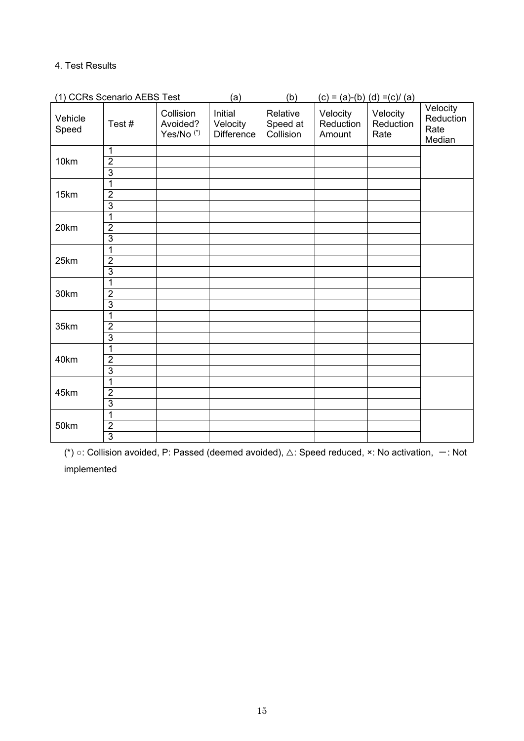# 4. Test Results

| (1) CCRs Scenario AEBS Test |                                                    |                                                | (a)                                      | (b)                               |                                 | $(c) = (a)-(b) (d) = (c)/(a)$ |                                         |
|-----------------------------|----------------------------------------------------|------------------------------------------------|------------------------------------------|-----------------------------------|---------------------------------|-------------------------------|-----------------------------------------|
| Vehicle<br>Speed            | Test#                                              | Collision<br>Avoided?<br>Yes/No <sup>(*)</sup> | Initial<br>Velocity<br><b>Difference</b> | Relative<br>Speed at<br>Collision | Velocity<br>Reduction<br>Amount | Velocity<br>Reduction<br>Rate | Velocity<br>Reduction<br>Rate<br>Median |
| 10km                        | $\mathbf{1}$<br>$\overline{2}$<br>$\overline{3}$   |                                                |                                          |                                   |                                 |                               |                                         |
| 15km                        | $\overline{1}$<br>$\overline{2}$<br>$\overline{3}$ |                                                |                                          |                                   |                                 |                               |                                         |
| 20km                        | 1<br>$\overline{2}$<br>$\overline{3}$              |                                                |                                          |                                   |                                 |                               |                                         |
| 25km                        | 1<br>$\overline{2}$<br>$\overline{3}$              |                                                |                                          |                                   |                                 |                               |                                         |
| 30km                        | 1<br>$\overline{2}$<br>3                           |                                                |                                          |                                   |                                 |                               |                                         |
| 35km                        | $\overline{1}$<br>$\overline{2}$<br>$\overline{3}$ |                                                |                                          |                                   |                                 |                               |                                         |
| 40km                        | $\overline{1}$<br>$\overline{2}$<br>$\overline{3}$ |                                                |                                          |                                   |                                 |                               |                                         |
| 45km                        | $\mathbf{1}$<br>$\overline{2}$<br>$\overline{3}$   |                                                |                                          |                                   |                                 |                               |                                         |
| 50km                        | $\mathbf{1}$<br>$\overline{2}$<br>$\overline{3}$   |                                                |                                          |                                   |                                 |                               |                                         |

(\*) o: Collision avoided, P: Passed (deemed avoided), △: Speed reduced, ×: No activation,  $-$ : Not implemented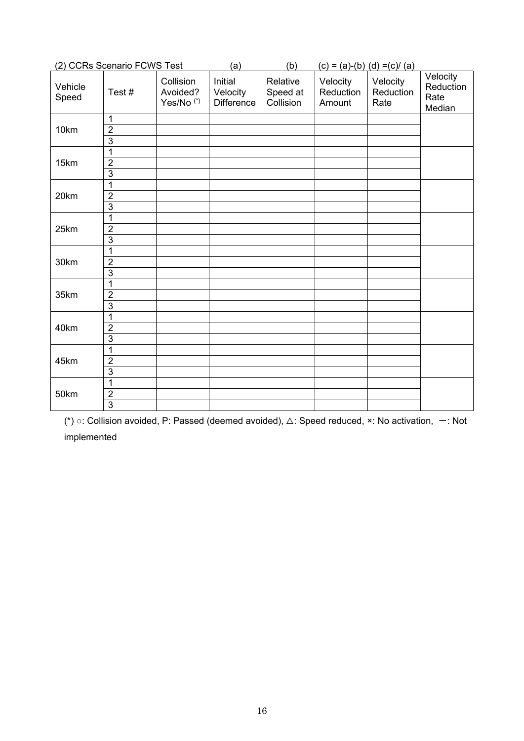|                  | (2) CCRs Scenario FCWS Test                        |                                                | (a)                                      | (b)                               | $(c) = (a)-(b) (d) = (c)/(a)$   |                               |                                         |
|------------------|----------------------------------------------------|------------------------------------------------|------------------------------------------|-----------------------------------|---------------------------------|-------------------------------|-----------------------------------------|
| Vehicle<br>Speed | Test#                                              | Collision<br>Avoided?<br>Yes/No <sup>(*)</sup> | Initial<br>Velocity<br><b>Difference</b> | Relative<br>Speed at<br>Collision | Velocity<br>Reduction<br>Amount | Velocity<br>Reduction<br>Rate | Velocity<br>Reduction<br>Rate<br>Median |
| 10km             | 1<br>$\overline{2}$<br>$\overline{3}$              |                                                |                                          |                                   |                                 |                               |                                         |
| 15km             | 1<br>$\overline{2}$<br>$\overline{3}$              |                                                |                                          |                                   |                                 |                               |                                         |
| 20km             | 1<br>$\overline{2}$<br>$\overline{3}$              |                                                |                                          |                                   |                                 |                               |                                         |
| 25km             | $\mathbf{1}$<br>$\overline{2}$<br>$\overline{3}$   |                                                |                                          |                                   |                                 |                               |                                         |
| 30km             | $\overline{1}$<br>$\overline{2}$<br>$\overline{3}$ |                                                |                                          |                                   |                                 |                               |                                         |
| 35km             | $\mathbf{1}$<br>$\overline{2}$<br>$\overline{3}$   |                                                |                                          |                                   |                                 |                               |                                         |
| 40km             | $\overline{1}$<br>$\overline{2}$<br>$\overline{3}$ |                                                |                                          |                                   |                                 |                               |                                         |
| 45km             | $\mathbf{1}$<br>$\overline{2}$<br>$\overline{3}$   |                                                |                                          |                                   |                                 |                               |                                         |
| 50km             | $\overline{1}$<br>$\overline{2}$<br>$\overline{3}$ |                                                |                                          |                                   |                                 |                               |                                         |

(\*) o: Collision avoided, P: Passed (deemed avoided), △: Speed reduced, ×: No activation,  $-$ : Not implemented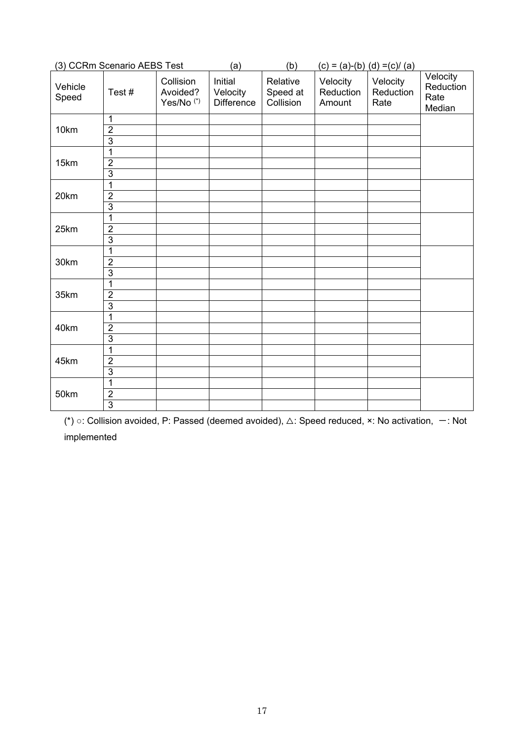|                  | (3) CCRm Scenario AEBS Test                      |                                                | (a)                                      | (b)                               |                                 | $(c) = (a)-(b) (d) = (c)/(a)$ |                                         |
|------------------|--------------------------------------------------|------------------------------------------------|------------------------------------------|-----------------------------------|---------------------------------|-------------------------------|-----------------------------------------|
| Vehicle<br>Speed | Test#                                            | Collision<br>Avoided?<br>Yes/No <sup>(*)</sup> | Initial<br>Velocity<br><b>Difference</b> | Relative<br>Speed at<br>Collision | Velocity<br>Reduction<br>Amount | Velocity<br>Reduction<br>Rate | Velocity<br>Reduction<br>Rate<br>Median |
| 10km             | $\mathbf{1}$<br>$\overline{2}$<br>$\overline{3}$ |                                                |                                          |                                   |                                 |                               |                                         |
| 15km             | $\mathbf{1}$<br>$\overline{2}$<br>$\overline{3}$ |                                                |                                          |                                   |                                 |                               |                                         |
| 20km             | 1<br>$\overline{2}$<br>$\overline{3}$            |                                                |                                          |                                   |                                 |                               |                                         |
| 25km             | 1<br>$\overline{2}$<br>$\overline{3}$            |                                                |                                          |                                   |                                 |                               |                                         |
| 30km             | 1<br>$\overline{2}$<br>$\overline{3}$            |                                                |                                          |                                   |                                 |                               |                                         |
| 35km             | 1<br>$\overline{2}$<br>$\overline{3}$            |                                                |                                          |                                   |                                 |                               |                                         |
| 40km             | 1<br>$\overline{2}$<br>$\overline{3}$            |                                                |                                          |                                   |                                 |                               |                                         |
| 45km             | $\mathbf{1}$<br>$\overline{2}$<br>$\overline{3}$ |                                                |                                          |                                   |                                 |                               |                                         |
| 50km             | $\mathbf{1}$<br>$\overline{2}$<br>$\overline{3}$ |                                                |                                          |                                   |                                 |                               |                                         |

(\*) o: Collision avoided, P: Passed (deemed avoided), △: Speed reduced, ×: No activation,  $-$ : Not implemented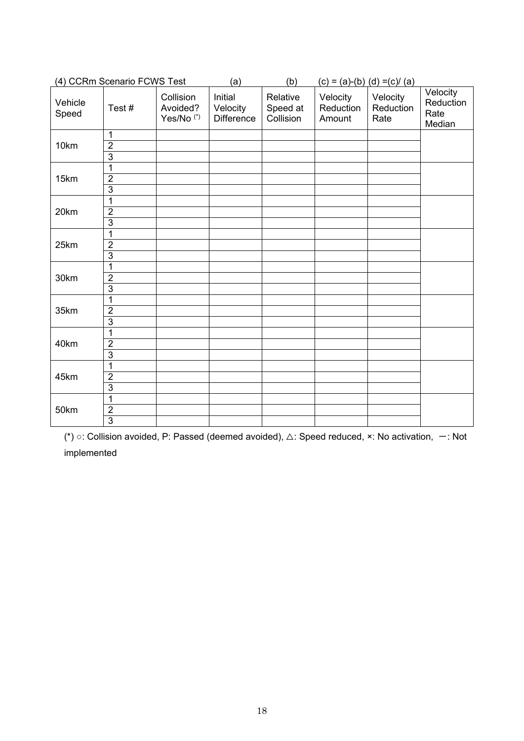|                  | (4) CCRm Scenario FCWS Test                        |                                                | (a)                                      | (b)                               |                                 | $(c) = (a)-(b) (d) = (c)/(a)$ |                                         |
|------------------|----------------------------------------------------|------------------------------------------------|------------------------------------------|-----------------------------------|---------------------------------|-------------------------------|-----------------------------------------|
| Vehicle<br>Speed | Test#                                              | Collision<br>Avoided?<br>Yes/No <sup>(*)</sup> | Initial<br>Velocity<br><b>Difference</b> | Relative<br>Speed at<br>Collision | Velocity<br>Reduction<br>Amount | Velocity<br>Reduction<br>Rate | Velocity<br>Reduction<br>Rate<br>Median |
| 10km             | $\mathbf{1}$<br>$\overline{2}$<br>$\overline{3}$   |                                                |                                          |                                   |                                 |                               |                                         |
| 15km             | 1<br>$\overline{2}$<br>$\overline{3}$              |                                                |                                          |                                   |                                 |                               |                                         |
| 20km             | $\mathbf{1}$<br>$\overline{2}$<br>$\overline{3}$   |                                                |                                          |                                   |                                 |                               |                                         |
| 25km             | $\mathbf{1}$<br>$\overline{2}$<br>$\overline{3}$   |                                                |                                          |                                   |                                 |                               |                                         |
| 30km             | 1<br>$\overline{2}$<br>$\overline{3}$              |                                                |                                          |                                   |                                 |                               |                                         |
| 35km             | $\mathbf{1}$<br>$\overline{2}$<br>$\overline{3}$   |                                                |                                          |                                   |                                 |                               |                                         |
| 40km             | 1<br>$\overline{2}$<br>$\overline{3}$              |                                                |                                          |                                   |                                 |                               |                                         |
| 45km             | 1<br>$\overline{2}$<br>$\overline{3}$              |                                                |                                          |                                   |                                 |                               |                                         |
| 50km             | $\overline{1}$<br>$\overline{2}$<br>$\overline{3}$ |                                                |                                          |                                   |                                 |                               |                                         |

(\*) ○: Collision avoided, P: Passed (deemed avoided),  $\triangle$ : Speed reduced, ×: No activation,  $-$ : Not implemented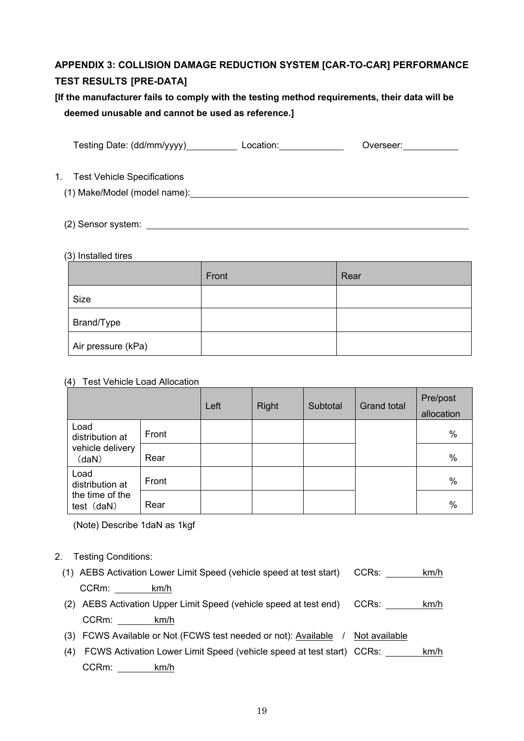# **APPENDIX 3: COLLISION DAMAGE REDUCTION SYSTEM [CAR-TO-CAR] PERFORMANCE TEST RESULTS [PRE-DATA]**

# **[If the manufacturer fails to comply with the testing method requirements, their data will be deemed unusable and cannot be used as reference.]**

|         | Testing Date: (dd/mm/yyyy)__________      | Location: | Overseer: |
|---------|-------------------------------------------|-----------|-----------|
| $1_{-}$ | <b>Test Vehicle Specifications</b>        |           |           |
|         | (1) Make/Model (model name): \[\end{math} |           |           |
|         |                                           |           |           |

(2) Sensor system:

# (3) Installed tires

|                    | Front | Rear |
|--------------------|-------|------|
| Size               |       |      |
| Brand/Type         |       |      |
| Air pressure (kPa) |       |      |

# (4) Test Vehicle Load Allocation

|                                                      |       | Left | Right | Subtotal | <b>Grand total</b> | Pre/post<br>allocation |
|------------------------------------------------------|-------|------|-------|----------|--------------------|------------------------|
| Load<br>distribution at<br>vehicle delivery<br>(daN) | Front |      |       |          |                    | $\%$                   |
|                                                      | Rear  |      |       |          |                    | $\%$                   |
| Load<br>distribution at                              | Front |      |       |          |                    | %                      |
| the time of the<br>test (daN)                        | Rear  |      |       |          |                    | $\%$                   |

(Note) Describe 1daN as 1kgf

# 2. Testing Conditions:

|       | (1) AEBS Activation Lower Limit Speed (vehicle speed at test start) CCRs: | km/h |
|-------|---------------------------------------------------------------------------|------|
| CCRm: | km/h                                                                      |      |

- (2) AEBS Activation Upper Limit Speed (vehicle speed at test end) CCRs: km/h CCRm: km/h
- (3) FCWS Available or Not (FCWS test needed or not): Available / Not available
- (4) FCWS Activation Lower Limit Speed (vehicle speed at test start) CCRs: km/h CCRm: km/h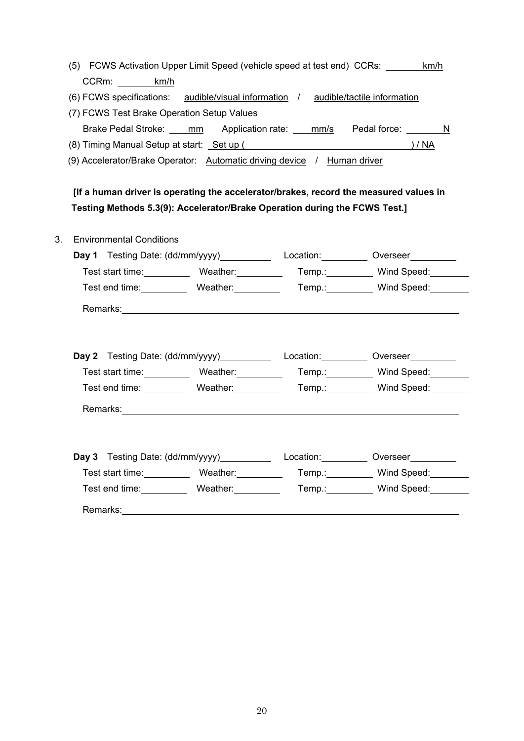| (5) FCWS Activation Upper Limit Speed (vehicle speed at test end) CCRs: km/h                                                                                                                                                         |  |                                                                                       |
|--------------------------------------------------------------------------------------------------------------------------------------------------------------------------------------------------------------------------------------|--|---------------------------------------------------------------------------------------|
| CCRm: km/h                                                                                                                                                                                                                           |  |                                                                                       |
| (6) FCWS specifications: audible/visual information / audible/tactile information                                                                                                                                                    |  |                                                                                       |
| (7) FCWS Test Brake Operation Setup Values                                                                                                                                                                                           |  |                                                                                       |
|                                                                                                                                                                                                                                      |  | Brake Pedal Stroke: ____ mm Application rate: ___ mm/s Pedal force: _______ N         |
| (8) Timing Manual Setup at start: <u>Set up (3) National Setup and Setup and Setup and Setup and Setup and Setup and Setup and Setup and Setup and Setup and Setup and Setup and Setup and Setup and Setup and Setup and Setup a</u> |  |                                                                                       |
| (9) Accelerator/Brake Operator: Automatic driving device / Human driver                                                                                                                                                              |  |                                                                                       |
|                                                                                                                                                                                                                                      |  |                                                                                       |
|                                                                                                                                                                                                                                      |  | [If a human driver is operating the accelerator/brakes, record the measured values in |
| Testing Methods 5.3(9): Accelerator/Brake Operation during the FCWS Test.]                                                                                                                                                           |  |                                                                                       |
| <b>Environmental Conditions</b>                                                                                                                                                                                                      |  |                                                                                       |
|                                                                                                                                                                                                                                      |  | Day 1 Testing Date: (dd/mm/yyyy) Location: Cloud Diverseer                            |
|                                                                                                                                                                                                                                      |  | Test start time: Weather: Temp.: Wind Speed: Wind Speed:                              |
|                                                                                                                                                                                                                                      |  | Test end time: Weather: Temp.: Wenther: Temp. Wind Speed:                             |
|                                                                                                                                                                                                                                      |  |                                                                                       |
|                                                                                                                                                                                                                                      |  |                                                                                       |
|                                                                                                                                                                                                                                      |  |                                                                                       |
|                                                                                                                                                                                                                                      |  | Day 2 Testing Date: (dd/mm/yyyy) Location: Cloud Diverseer                            |
|                                                                                                                                                                                                                                      |  | Test start time: Weather: Temp.: Wind Speed: Wind Speed:                              |
|                                                                                                                                                                                                                                      |  | Test end time: Weather: Temp.: Wenther: Temp. Wind Speed:                             |
|                                                                                                                                                                                                                                      |  |                                                                                       |
|                                                                                                                                                                                                                                      |  |                                                                                       |
|                                                                                                                                                                                                                                      |  |                                                                                       |
|                                                                                                                                                                                                                                      |  | Day 3 Testing Date: (dd/mm/yyyy) Location: Overseer                                   |
|                                                                                                                                                                                                                                      |  | Test start time: Weather: Temp.: Wind Speed: Wind Speed:                              |
|                                                                                                                                                                                                                                      |  | Test end time: Weather: Temp.: Wind Speed:                                            |
|                                                                                                                                                                                                                                      |  |                                                                                       |
|                                                                                                                                                                                                                                      |  |                                                                                       |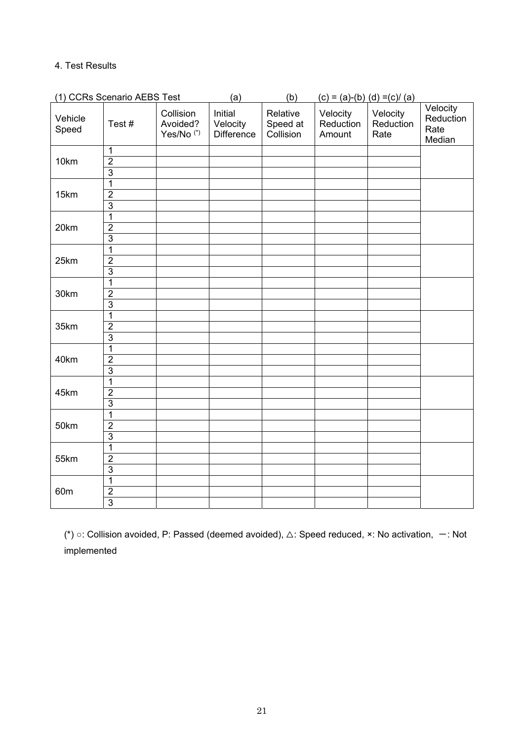# 4. Test Results

|                  | (1) CCRs Scenario AEBS Test                        |                                                | (a)                                      | (b)                               |                                 | $(c) = (a)-(b) (d) = (c)/(a)$ |                                         |
|------------------|----------------------------------------------------|------------------------------------------------|------------------------------------------|-----------------------------------|---------------------------------|-------------------------------|-----------------------------------------|
| Vehicle<br>Speed | Test#                                              | Collision<br>Avoided?<br>Yes/No <sup>(*)</sup> | Initial<br>Velocity<br><b>Difference</b> | Relative<br>Speed at<br>Collision | Velocity<br>Reduction<br>Amount | Velocity<br>Reduction<br>Rate | Velocity<br>Reduction<br>Rate<br>Median |
| 10km             | $\overline{1}$<br>$\overline{2}$<br>$\overline{3}$ |                                                |                                          |                                   |                                 |                               |                                         |
| 15km             | $\mathbf{1}$<br>$\overline{2}$<br>$\overline{3}$   |                                                |                                          |                                   |                                 |                               |                                         |
| 20km             | $\overline{1}$<br>$\overline{2}$<br>$\overline{3}$ |                                                |                                          |                                   |                                 |                               |                                         |
| 25km             | $\mathbf{1}$<br>$\overline{2}$<br>$\overline{3}$   |                                                |                                          |                                   |                                 |                               |                                         |
| 30km             | $\mathbf{1}$<br>$\overline{2}$<br>$\overline{3}$   |                                                |                                          |                                   |                                 |                               |                                         |
| 35km             | $\mathbf{1}$<br>$\overline{2}$<br>$\overline{3}$   |                                                |                                          |                                   |                                 |                               |                                         |
| 40km             | $\overline{1}$<br>$\overline{2}$<br>$\overline{3}$ |                                                |                                          |                                   |                                 |                               |                                         |
| 45km             | $\overline{1}$<br>$\overline{2}$<br>$\overline{3}$ |                                                |                                          |                                   |                                 |                               |                                         |
| 50km             | $\overline{1}$<br>$\overline{2}$<br>$\overline{3}$ |                                                |                                          |                                   |                                 |                               |                                         |
| 55km             | $\mathbf{1}$<br>$\overline{2}$<br>$\overline{3}$   |                                                |                                          |                                   |                                 |                               |                                         |
| 60 <sub>m</sub>  | $\mathbf{1}$<br>$\overline{2}$<br>$\overline{3}$   |                                                |                                          |                                   |                                 |                               |                                         |

(\*) ○: Collision avoided, P: Passed (deemed avoided),  $\triangle$ : Speed reduced, ×: No activation,  $-$ : Not implemented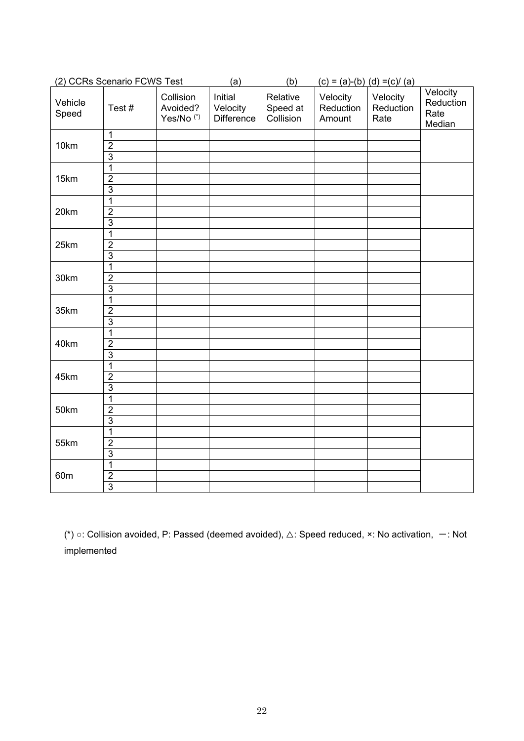|                  | (2) CCRs Scenario FCWS Test                        |                                                | (a)                                      | (b)                               |                                 | $(c) = (a)-(b)$ $(d) = (c)/(a)$ |                                         |
|------------------|----------------------------------------------------|------------------------------------------------|------------------------------------------|-----------------------------------|---------------------------------|---------------------------------|-----------------------------------------|
| Vehicle<br>Speed | Test#                                              | Collision<br>Avoided?<br>Yes/No <sup>(*)</sup> | Initial<br>Velocity<br><b>Difference</b> | Relative<br>Speed at<br>Collision | Velocity<br>Reduction<br>Amount | Velocity<br>Reduction<br>Rate   | Velocity<br>Reduction<br>Rate<br>Median |
| 10km             | $\mathbf{1}$<br>$\overline{2}$<br>$\overline{3}$   |                                                |                                          |                                   |                                 |                                 |                                         |
| 15km             | $\mathbf 1$<br>$\overline{2}$<br>$\overline{3}$    |                                                |                                          |                                   |                                 |                                 |                                         |
| 20km             | $\mathbf{1}$<br>$\overline{2}$<br>$\overline{3}$   |                                                |                                          |                                   |                                 |                                 |                                         |
| 25km             | 1<br>$\overline{2}$<br>$\overline{3}$              |                                                |                                          |                                   |                                 |                                 |                                         |
| 30km             | 1<br>$\overline{2}$<br>$\overline{3}$              |                                                |                                          |                                   |                                 |                                 |                                         |
| 35km             | 1<br>$\overline{2}$<br>$\overline{3}$              |                                                |                                          |                                   |                                 |                                 |                                         |
| 40km             | $\mathbf{1}$<br>$\overline{2}$<br>$\overline{3}$   |                                                |                                          |                                   |                                 |                                 |                                         |
| 45km             | $\overline{1}$<br>$\overline{2}$<br>$\overline{3}$ |                                                |                                          |                                   |                                 |                                 |                                         |
| 50km             | $\overline{1}$<br>$\overline{2}$<br>$\overline{3}$ |                                                |                                          |                                   |                                 |                                 |                                         |
| 55km             | $\overline{1}$<br>$\overline{2}$<br>$\overline{3}$ |                                                |                                          |                                   |                                 |                                 |                                         |
| 60 <sub>m</sub>  | $\overline{1}$<br>$\overline{2}$<br>$\overline{3}$ |                                                |                                          |                                   |                                 |                                 |                                         |

(\*) ○: Collision avoided, P: Passed (deemed avoided),  $\triangle$ : Speed reduced, ×: No activation,  $-$ : Not implemented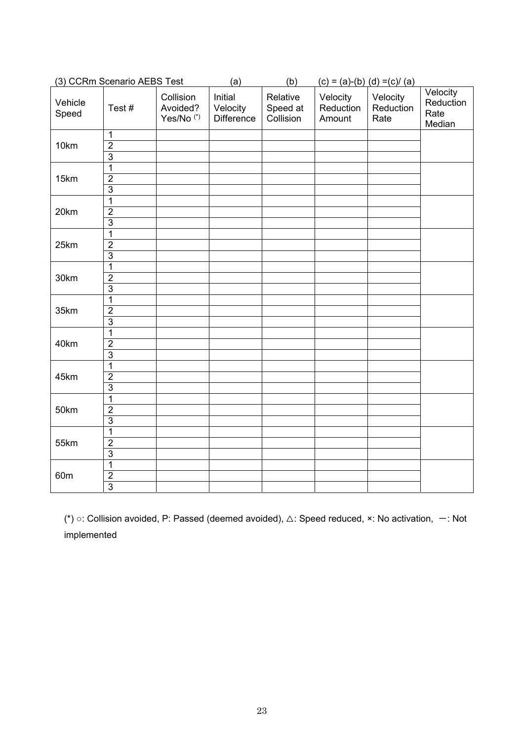|                  | (3) CCRm Scenario AEBS Test                        |                                                | (a)                                      | (b)                               | $(c) = (a)-(b) (d) = (c)/(a)$   |                               |                                         |
|------------------|----------------------------------------------------|------------------------------------------------|------------------------------------------|-----------------------------------|---------------------------------|-------------------------------|-----------------------------------------|
| Vehicle<br>Speed | Test#                                              | Collision<br>Avoided?<br>Yes/No <sup>(*)</sup> | Initial<br>Velocity<br><b>Difference</b> | Relative<br>Speed at<br>Collision | Velocity<br>Reduction<br>Amount | Velocity<br>Reduction<br>Rate | Velocity<br>Reduction<br>Rate<br>Median |
| 10km             | $\mathbf{1}$<br>$\overline{2}$<br>$\overline{3}$   |                                                |                                          |                                   |                                 |                               |                                         |
| 15km             | $\mathbf{1}$<br>$\overline{2}$<br>$\overline{3}$   |                                                |                                          |                                   |                                 |                               |                                         |
| 20km             | $\overline{1}$<br>$\overline{2}$<br>$\overline{3}$ |                                                |                                          |                                   |                                 |                               |                                         |
| 25km             | $\mathbf{1}$<br>$\overline{2}$<br>$\overline{3}$   |                                                |                                          |                                   |                                 |                               |                                         |
| 30km             | $\mathbf{1}$<br>$\overline{2}$<br>$\overline{3}$   |                                                |                                          |                                   |                                 |                               |                                         |
| 35km             | $\mathbf{1}$<br>$\overline{2}$<br>$\overline{3}$   |                                                |                                          |                                   |                                 |                               |                                         |
| 40km             | $\mathbf{1}$<br>$\overline{2}$<br>$\overline{3}$   |                                                |                                          |                                   |                                 |                               |                                         |
| 45km             | $\overline{1}$<br>$\overline{2}$<br>$\overline{3}$ |                                                |                                          |                                   |                                 |                               |                                         |
| 50km             | $\overline{1}$<br>$\overline{2}$<br>$\overline{3}$ |                                                |                                          |                                   |                                 |                               |                                         |
| 55km             | $\overline{1}$<br>$\overline{2}$<br>$\overline{3}$ |                                                |                                          |                                   |                                 |                               |                                         |
| 60 <sub>m</sub>  | $\overline{1}$<br>$\overline{2}$<br>$\overline{3}$ |                                                |                                          |                                   |                                 |                               |                                         |

(\*) ○: Collision avoided, P: Passed (deemed avoided), △: Speed reduced, ×: No activation, -: Not implemented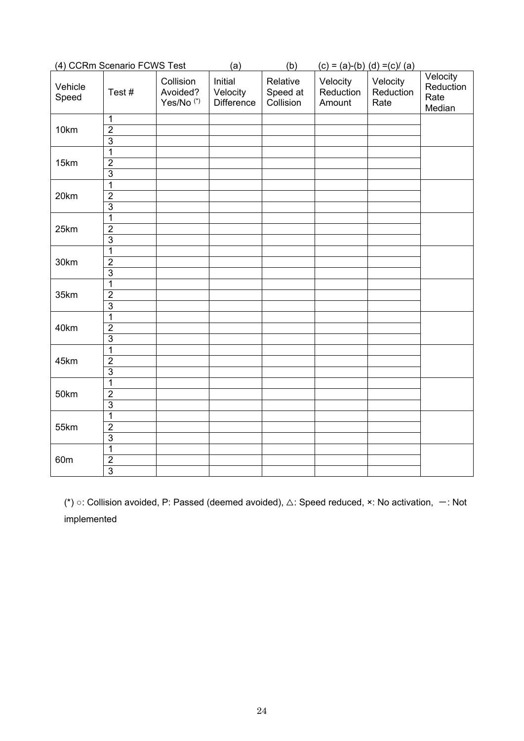| (4) CCRm Scenario FCWS Test |                                                    |                                                | (a)                                      | (b)                               | $(c) = (a)-(b) (d) = (c)/(a)$   |                               |                                         |
|-----------------------------|----------------------------------------------------|------------------------------------------------|------------------------------------------|-----------------------------------|---------------------------------|-------------------------------|-----------------------------------------|
| Vehicle<br>Speed            | Test#                                              | Collision<br>Avoided?<br>Yes/No <sup>(*)</sup> | Initial<br>Velocity<br><b>Difference</b> | Relative<br>Speed at<br>Collision | Velocity<br>Reduction<br>Amount | Velocity<br>Reduction<br>Rate | Velocity<br>Reduction<br>Rate<br>Median |
| 10km                        | 1<br>$\overline{2}$<br>$\overline{3}$              |                                                |                                          |                                   |                                 |                               |                                         |
| 15km                        | 1<br>$\overline{2}$<br>$\overline{3}$              |                                                |                                          |                                   |                                 |                               |                                         |
| 20km                        | $\overline{1}$<br>$\overline{2}$<br>$\overline{3}$ |                                                |                                          |                                   |                                 |                               |                                         |
| 25km                        | $\mathbf 1$<br>$\overline{2}$<br>$\overline{3}$    |                                                |                                          |                                   |                                 |                               |                                         |
| 30km                        | 1<br>$\overline{2}$<br>$\overline{3}$              |                                                |                                          |                                   |                                 |                               |                                         |
| 35km                        | 1<br>$\overline{2}$<br>$\overline{3}$              |                                                |                                          |                                   |                                 |                               |                                         |
| 40km                        | $\mathbf 1$<br>$\overline{2}$<br>$\overline{3}$    |                                                |                                          |                                   |                                 |                               |                                         |
| 45km                        | $\mathbf{1}$<br>$\overline{2}$<br>$\overline{3}$   |                                                |                                          |                                   |                                 |                               |                                         |
| 50km                        | $\overline{1}$<br>$\overline{2}$<br>$\overline{3}$ |                                                |                                          |                                   |                                 |                               |                                         |
| 55km                        | $\overline{1}$<br>$\overline{2}$<br>$\overline{3}$ |                                                |                                          |                                   |                                 |                               |                                         |
| 60 <sub>m</sub>             | $\overline{1}$<br>$\overline{2}$<br>$\overline{3}$ |                                                |                                          |                                   |                                 |                               |                                         |

(\*) ○: Collision avoided, P: Passed (deemed avoided), △: Speed reduced, ×: No activation, -: Not implemented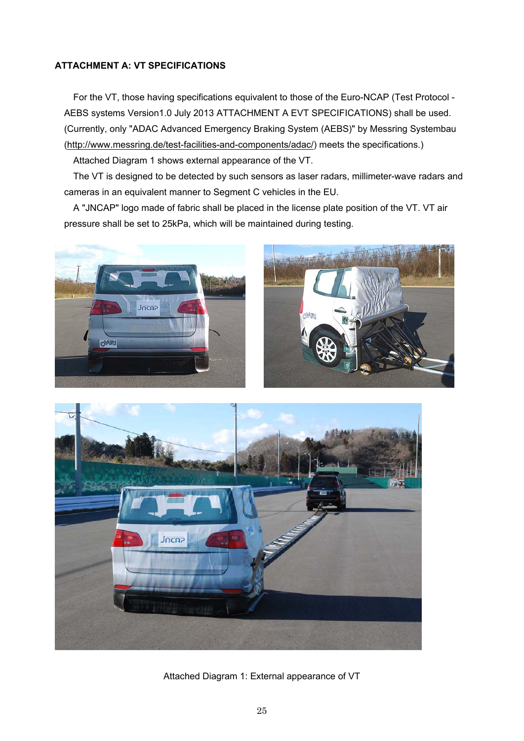# **ATTACHMENT A: VT SPECIFICATIONS**

For the VT, those having specifications equivalent to those of the Euro-NCAP (Test Protocol - AEBS systems Version1.0 July 2013 ATTACHMENT A EVT SPECIFICATIONS) shall be used. (Currently, only "ADAC Advanced Emergency Braking System (AEBS)" by Messring Systembau (http://www.messring.de/test-facilities-and-components/adac/) meets the specifications.)

Attached Diagram 1 shows external appearance of the VT.

The VT is designed to be detected by such sensors as laser radars, millimeter-wave radars and cameras in an equivalent manner to Segment C vehicles in the EU.

A "JNCAP" logo made of fabric shall be placed in the license plate position of the VT. VT air pressure shall be set to 25kPa, which will be maintained during testing.





Attached Diagram 1: External appearance of VT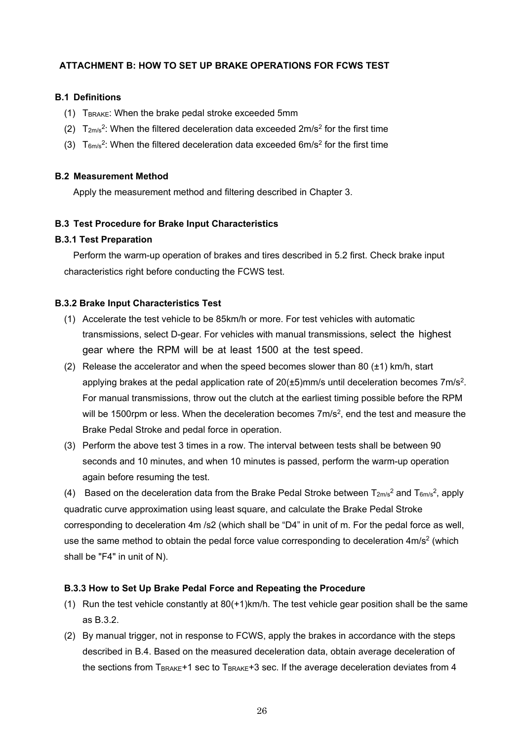## **ATTACHMENT B: HOW TO SET UP BRAKE OPERATIONS FOR FCWS TEST**

## **B.1 Definitions**

- (1)  $T_{\text{BRAKE}}$ : When the brake pedal stroke exceeded 5mm
- (2)  $T_{2\text{m/s}}^2$ : When the filtered deceleration data exceeded  $2\text{m/s}^2$  for the first time
- (3)  $T_{6m/s}^2$ : When the filtered deceleration data exceeded 6m/s<sup>2</sup> for the first time

### **B.2 Measurement Method**

Apply the measurement method and filtering described in Chapter 3.

### **B.3 Test Procedure for Brake Input Characteristics**

#### **B.3.1 Test Preparation**

Perform the warm-up operation of brakes and tires described in 5.2 first. Check brake input characteristics right before conducting the FCWS test.

### **B.3.2 Brake Input Characteristics Test**

- (1) Accelerate the test vehicle to be 85km/h or more. For test vehicles with automatic transmissions, select D-gear. For vehicles with manual transmissions, select the highest gear where the RPM will be at least 1500 at the test speed.
- (2) Release the accelerator and when the speed becomes slower than 80  $(\pm 1)$  km/h, start applying brakes at the pedal application rate of  $20(\pm 5)$ mm/s until deceleration becomes  $7 \text{m/s}^2$ . For manual transmissions, throw out the clutch at the earliest timing possible before the RPM will be 1500rpm or less. When the deceleration becomes  $7m/s<sup>2</sup>$ , end the test and measure the Brake Pedal Stroke and pedal force in operation.
- (3) Perform the above test 3 times in a row. The interval between tests shall be between 90 seconds and 10 minutes, and when 10 minutes is passed, perform the warm-up operation again before resuming the test.

(4) Based on the deceleration data from the Brake Pedal Stroke between  $T_{2m/s}^2$  and  $T_{6m/s}^2$ , apply quadratic curve approximation using least square, and calculate the Brake Pedal Stroke corresponding to deceleration 4m /s2 (which shall be "D4" in unit of m. For the pedal force as well, use the same method to obtain the pedal force value corresponding to deceleration 4m/s<sup>2</sup> (which shall be "F4" in unit of N).

#### **B.3.3 How to Set Up Brake Pedal Force and Repeating the Procedure**

- (1) Run the test vehicle constantly at 80(+1)km/h. The test vehicle gear position shall be the same as B.3.2.
- (2) By manual trigger, not in response to FCWS, apply the brakes in accordance with the steps described in B.4. Based on the measured deceleration data, obtain average deceleration of the sections from T<sub>BRAKE</sub>+1 sec to T<sub>BRAKE</sub>+3 sec. If the average deceleration deviates from 4